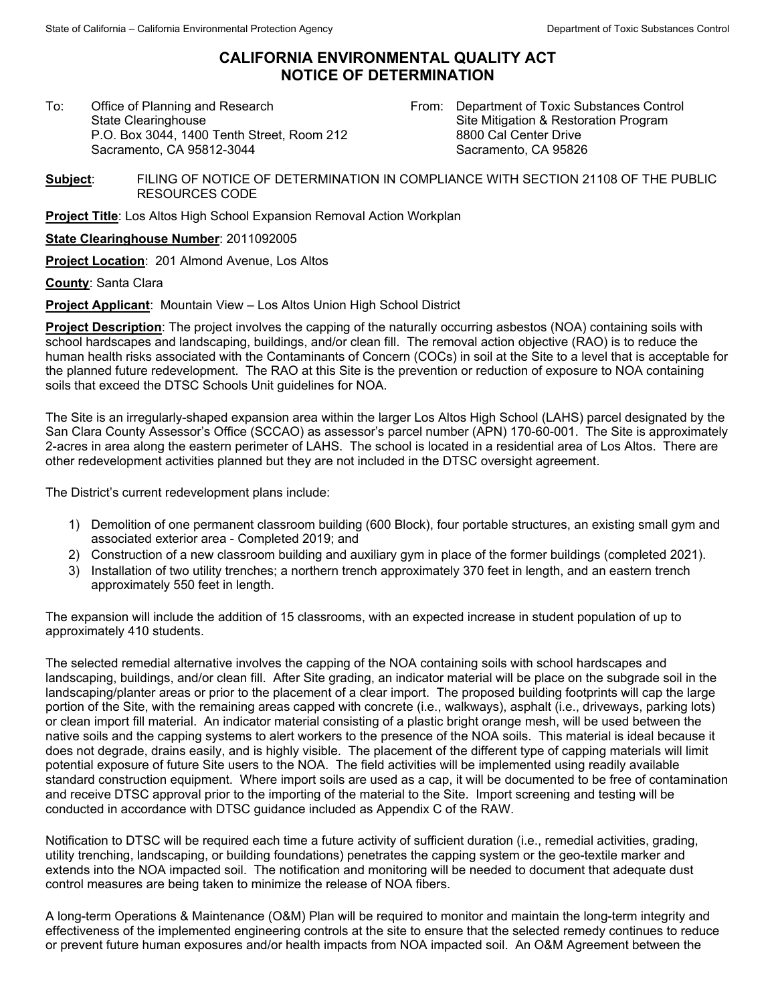## **CALIFORNIA ENVIRONMENTAL QUALITY ACT NOTICE OF DETERMINATION**

To:Office of Planning and Research State Clearinghouse P.O. Box 3044, 1400 Tenth Street, Room 212 Sacramento, CA 95812-3044

From: Department of Toxic Substances Control Site Mitigation & Restoration Program 8800 Cal Center Drive Sacramento, CA 95826

**Subject**: FILING OF NOTICE OF DETERMINATION IN COMPLIANCE WITH SECTION 21108 OF THE PUBLIC RESOURCES CODE

**Project Title**: Los Altos High School Expansion Removal Action Workplan

**State Clearinghouse Number**: 2011092005

**Project Location**: 201 Almond Avenue, Los Altos

**County**: Santa Clara

**Project Applicant**: Mountain View – Los Altos Union High School District

**Project Description**: The project involves the capping of the naturally occurring asbestos (NOA) containing soils with school hardscapes and landscaping, buildings, and/or clean fill. The removal action objective (RAO) is to reduce the human health risks associated with the Contaminants of Concern (COCs) in soil at the Site to a level that is acceptable for the planned future redevelopment. The RAO at this Site is the prevention or reduction of exposure to NOA containing soils that exceed the DTSC Schools Unit guidelines for NOA.

The Site is an irregularly-shaped expansion area within the larger Los Altos High School (LAHS) parcel designated by the San Clara County Assessor's Office (SCCAO) as assessor's parcel number (APN) 170-60-001. The Site is approximately 2-acres in area along the eastern perimeter of LAHS. The school is located in a residential area of Los Altos. There are other redevelopment activities planned but they are not included in the DTSC oversight agreement.

The District's current redevelopment plans include:

- 1) Demolition of one permanent classroom building (600 Block), four portable structures, an existing small gym and associated exterior area - Completed 2019; and
- 2) Construction of a new classroom building and auxiliary gym in place of the former buildings (completed 2021).
- 3) Installation of two utility trenches; a northern trench approximately 370 feet in length, and an eastern trench approximately 550 feet in length.

The expansion will include the addition of 15 classrooms, with an expected increase in student population of up to approximately 410 students.

The selected remedial alternative involves the capping of the NOA containing soils with school hardscapes and landscaping, buildings, and/or clean fill. After Site grading, an indicator material will be place on the subgrade soil in the landscaping/planter areas or prior to the placement of a clear import. The proposed building footprints will cap the large portion of the Site, with the remaining areas capped with concrete (i.e., walkways), asphalt (i.e., driveways, parking lots) or clean import fill material. An indicator material consisting of a plastic bright orange mesh, will be used between the native soils and the capping systems to alert workers to the presence of the NOA soils. This material is ideal because it does not degrade, drains easily, and is highly visible. The placement of the different type of capping materials will limit potential exposure of future Site users to the NOA. The field activities will be implemented using readily available standard construction equipment. Where import soils are used as a cap, it will be documented to be free of contamination and receive DTSC approval prior to the importing of the material to the Site. Import screening and testing will be conducted in accordance with DTSC guidance included as Appendix C of the RAW.

Notification to DTSC will be required each time a future activity of sufficient duration (i.e., remedial activities, grading, utility trenching, landscaping, or building foundations) penetrates the capping system or the geo-textile marker and extends into the NOA impacted soil. The notification and monitoring will be needed to document that adequate dust control measures are being taken to minimize the release of NOA fibers.

A long-term Operations & Maintenance (O&M) Plan will be required to monitor and maintain the long-term integrity and effectiveness of the implemented engineering controls at the site to ensure that the selected remedy continues to reduce or prevent future human exposures and/or health impacts from NOA impacted soil. An O&M Agreement between the